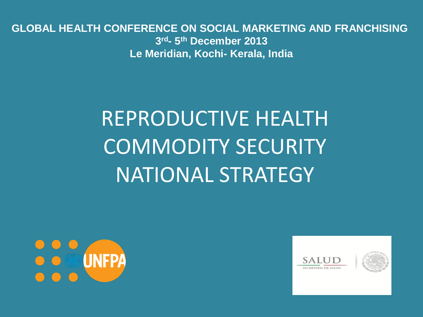**GLOBAL HEALTH CONFERENCE ON SOCIAL MARKETING AND FRANCHISING 3 rd- 5 th December 2013 Le Meridian, Kochi- Kerala, India**

# REPRODUCTIVE HEALTH COMMODITY SECURITY NATIONAL STRATEGY



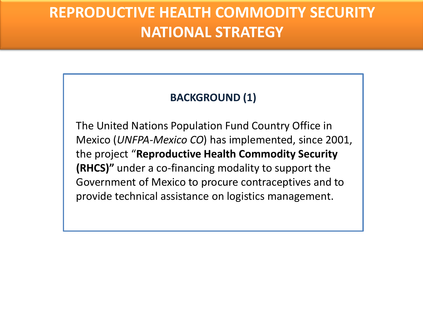### **BACKGROUND (1)**

The United Nations Population Fund Country Office in Mexico (*UNFPA-Mexico CO*) has implemented, since 2001, the project "**Reproductive Health Commodity Security (RHCS)"** under a co-financing modality to support the Government of Mexico to procure contraceptives and to provide technical assistance on logistics management.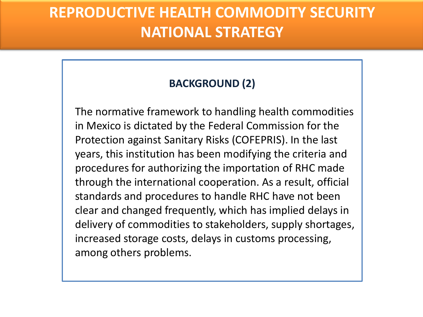### **BACKGROUND (2)**

The normative framework to handling health commodities in Mexico is dictated by the Federal Commission for the Protection against Sanitary Risks (COFEPRIS). In the last years, this institution has been modifying the criteria and procedures for authorizing the importation of RHC made through the international cooperation. As a result, official standards and procedures to handle RHC have not been clear and changed frequently, which has implied delays in delivery of commodities to stakeholders, supply shortages, increased storage costs, delays in customs processing, among others problems.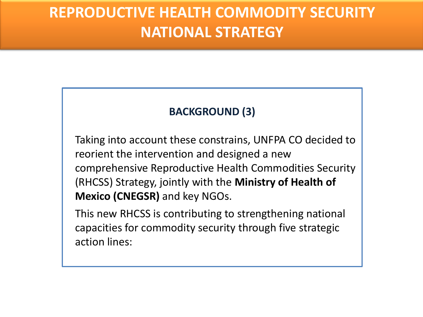### **BACKGROUND (3)**

Taking into account these constrains, UNFPA CO decided to reorient the intervention and designed a new comprehensive Reproductive Health Commodities Security (RHCSS) Strategy, jointly with the **Ministry of Health of Mexico (CNEGSR)** and key NGOs.

This new RHCSS is contributing to strengthening national capacities for commodity security through five strategic action lines: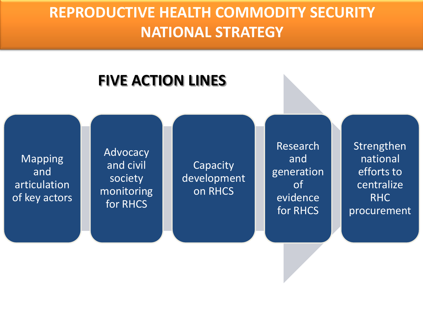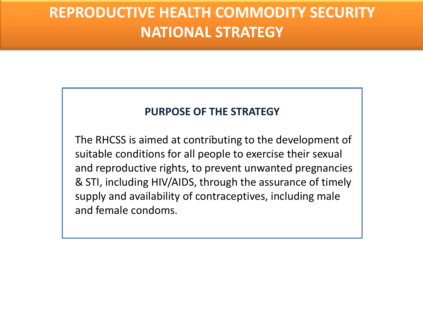#### **PURPOSE OF THE STRATEGY**

The RHCSS is aimed at contributing to the development of suitable conditions for all people to exercise their sexual and reproductive rights, to prevent unwanted pregnancies & STI, including HIV/AIDS, through the assurance of timely supply and availability of contraceptives, including male and female condoms.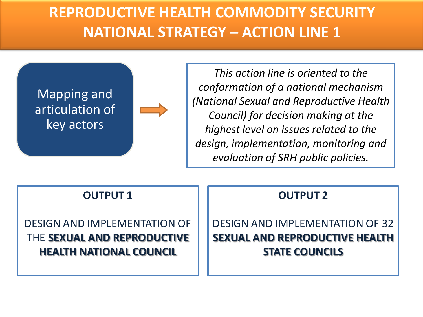

*This action line is oriented to the conformation of a national mechanism (National Sexual and Reproductive Health Council) for decision making at the highest level on issues related to the design, implementation, monitoring and evaluation of SRH public policies.* 

#### **OUTPUT 1**

DESIGN AND IMPLEMENTATION OF THE **SEXUAL AND REPRODUCTIVE HEALTH NATIONAL COUNCIL**

#### **OUTPUT 2**

DESIGN AND IMPLEMENTATION OF 32 **SEXUAL AND REPRODUCTIVE HEALTH STATE COUNCILS**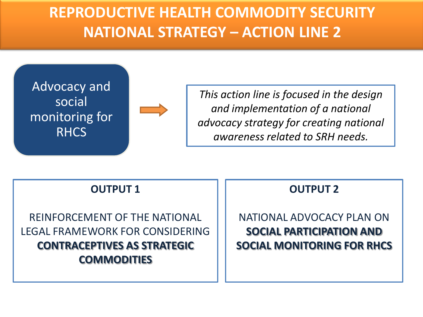

*This action line is focused in the design and implementation of a national advocacy strategy for creating national awareness related to SRH needs.* 

#### **OUTPUT 1**

REINFORCEMENT OF THE NATIONAL LEGAL FRAMEWORK FOR CONSIDERING **CONTRACEPTIVES AS STRATEGIC COMMODITIES**

#### **OUTPUT 2**

NATIONAL ADVOCACY PLAN ON **SOCIAL PARTICIPATION AND SOCIAL MONITORING FOR RHCS**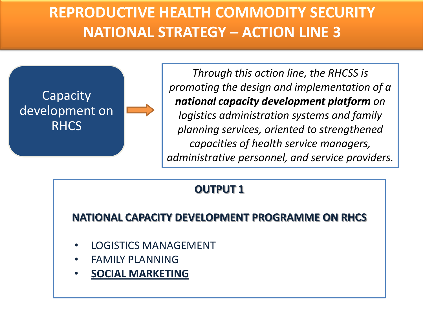

*Through this action line, the RHCSS is promoting the design and implementation of a national capacity development platform on logistics administration systems and family planning services, oriented to strengthened capacities of health service managers, administrative personnel, and service providers.*

### **OUTPUT 1**

### **NATIONAL CAPACITY DEVELOPMENT PROGRAMME ON RHCS**

- LOGISTICS MANAGEMENT
- FAMILY PLANNING
- **SOCIAL MARKETING**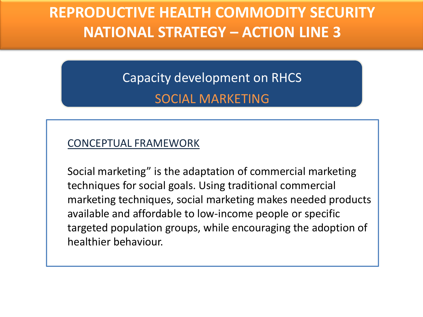Capacity development on RHCS SOCIAL MARKETING

#### CONCEPTUAL FRAMEWORK

Social marketing" is the adaptation of commercial marketing techniques for social goals. Using traditional commercial marketing techniques, social marketing makes needed products available and affordable to low-income people or specific targeted population groups, while encouraging the adoption of healthier behaviour.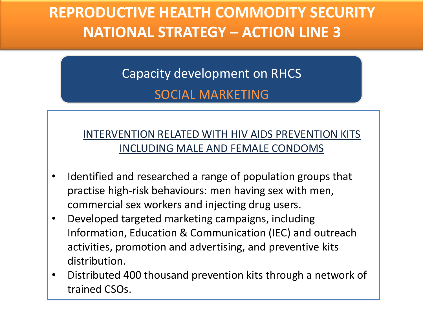### Capacity development on RHCS SOCIAL MARKETING

### INTERVENTION RELATED WITH HIV AIDS PREVENTION KITS INCLUDING MALE AND FEMALE CONDOMS

- Identified and researched a range of population groups that practise high-risk behaviours: men having sex with men, commercial sex workers and injecting drug users.
- Developed targeted marketing campaigns, including Information, Education & Communication (IEC) and outreach activities, promotion and advertising, and preventive kits distribution.
- Distributed 400 thousand prevention kits through a network of trained CSOs.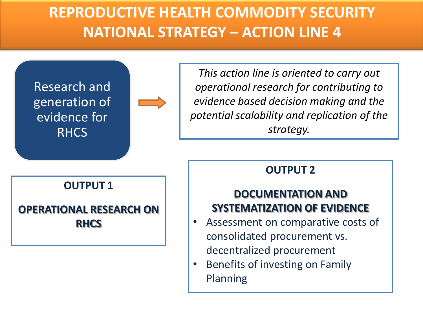



*This action line is oriented to carry out operational research for contributing to evidence based decision making and the potential scalability and replication of the strategy.*

#### **OUTPUT 1**

### **OPERATIONAL RESEARCH ON RHCS**

### **OUTPUT 2**

### **DOCUMENTATION AND SYSTEMATIZATION OF EVIDENCE**

- Assessment on comparative costs of consolidated procurement vs. decentralized procurement
- Benefits of investing on Family Planning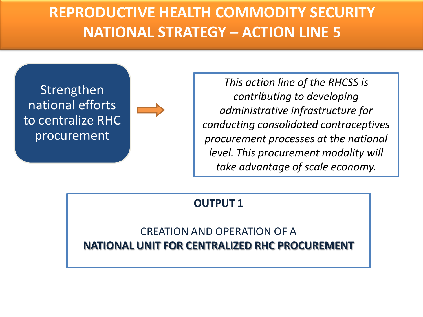

*This action line of the RHCSS is contributing to developing administrative infrastructure for conducting consolidated contraceptives procurement processes at the national level. This procurement modality will take advantage of scale economy.*

#### **OUTPUT 1**

CREATION AND OPERATION OF A **NATIONAL UNIT FOR CENTRALIZED RHC PROCUREMENT**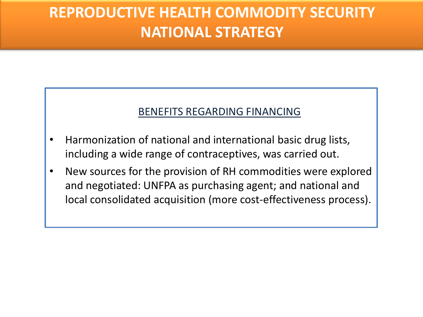#### BENEFITS REGARDING FINANCING

- Harmonization of national and international basic drug lists, including a wide range of contraceptives, was carried out.
- New sources for the provision of RH commodities were explored and negotiated: UNFPA as purchasing agent; and national and local consolidated acquisition (more cost-effectiveness process).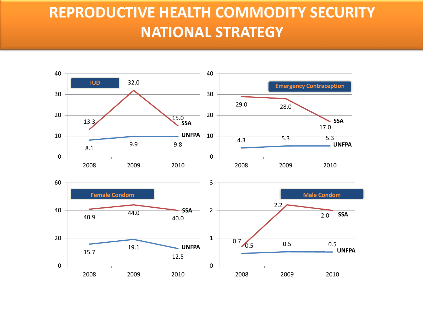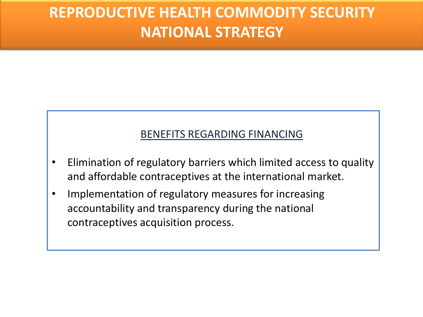#### BENEFITS REGARDING FINANCING

- Elimination of regulatory barriers which limited access to quality and affordable contraceptives at the international market.
- Implementation of regulatory measures for increasing accountability and transparency during the national contraceptives acquisition process.